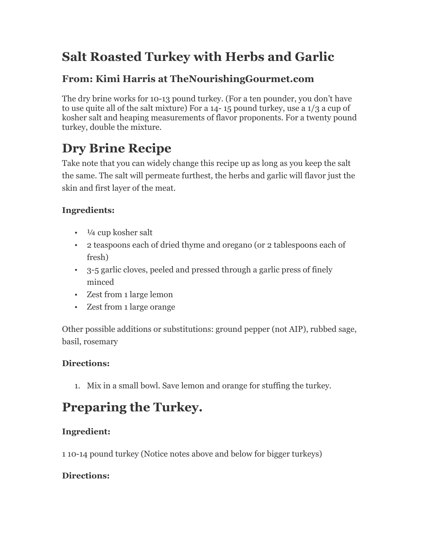### **Salt Roasted Turkey with Herbs and Garlic**

### **From: Kimi Harris at TheNourishingGourmet.com**

The dry brine works for 10-13 pound turkey. (For a ten pounder, you don't have to use quite all of the salt mixture) For a 14- 15 pound turkey, use a 1/3 a cup of kosher salt and heaping measurements of flavor proponents. For a twenty pound turkey, double the mixture.

# **Dry Brine Recipe**

Take note that you can widely change this recipe up as long as you keep the salt the same. The salt will permeate furthest, the herbs and garlic will flavor just the skin and first layer of the meat.

#### **Ingredients:**

- $\cdot$   $\frac{1}{4}$  cup kosher salt
- 2 teaspoons each of dried thyme and oregano (or 2 tablespoons each of fresh)
- 3-5 garlic cloves, peeled and pressed through a garlic press of finely minced
- Zest from 1 large lemon
- Zest from 1 large orange

Other possible additions or substitutions: ground pepper (not AIP), rubbed sage, basil, rosemary

#### **Directions:**

1. Mix in a small bowl. Save lemon and orange for stuffing the turkey.

# **Preparing the Turkey.**

#### **Ingredient:**

1 10-14 pound turkey (Notice notes above and below for bigger turkeys)

#### **Directions:**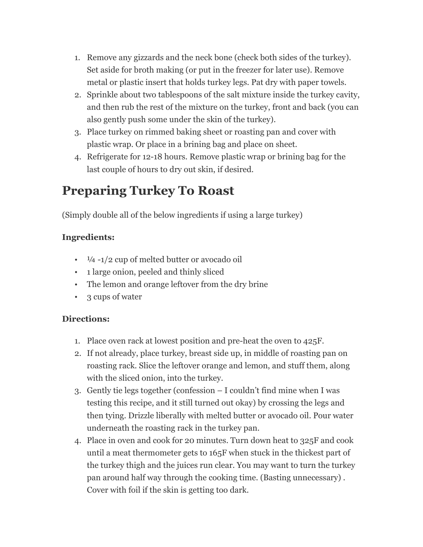- 1. Remove any gizzards and the neck bone (check both sides of the turkey). Set aside for broth making (or put in the freezer for later use). Remove metal or plastic insert that holds turkey legs. Pat dry with paper towels.
- 2. Sprinkle about two tablespoons of the salt mixture inside the turkey cavity, and then rub the rest of the mixture on the turkey, front and back (you can also gently push some under the skin of the turkey).
- 3. Place turkey on rimmed baking sheet or roasting pan and cover with plastic wrap. Or place in a brining bag and place on sheet.
- 4. Refrigerate for 12-18 hours. Remove plastic wrap or brining bag for the last couple of hours to dry out skin, if desired.

### **Preparing Turkey To Roast**

(Simply double all of the below ingredients if using a large turkey)

#### **Ingredients:**

- $\cdot$   $\frac{1}{4}$  -1/2 cup of melted butter or avocado oil
- 1 large onion, peeled and thinly sliced
- The lemon and orange leftover from the dry brine
- 3 cups of water

#### **Directions:**

- 1. Place oven rack at lowest position and pre-heat the oven to 425F.
- 2. If not already, place turkey, breast side up, in middle of roasting pan on roasting rack. Slice the leftover orange and lemon, and stuff them, along with the sliced onion, into the turkey.
- 3. Gently tie legs together (confession I couldn't find mine when I was testing this recipe, and it still turned out okay) by crossing the legs and then tying. Drizzle liberally with melted butter or avocado oil. Pour water underneath the roasting rack in the turkey pan.
- 4. Place in oven and cook for 20 minutes. Turn down heat to 325F and cook until a meat thermometer gets to 165F when stuck in the thickest part of the turkey thigh and the juices run clear. You may want to turn the turkey pan around half way through the cooking time. (Basting unnecessary) . Cover with foil if the skin is getting too dark.